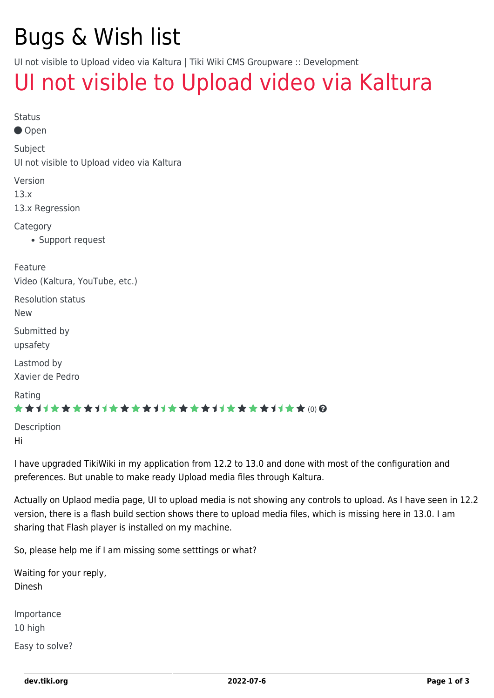# Bugs & Wish list

UI not visible to Upload video via Kaltura | Tiki Wiki CMS Groupware :: Development

## [UI not visible to Upload video via Kaltura](https://dev.tiki.org/item5472-UI-not-visible-to-Upload-video-via-Kaltura)

| <b>Status</b><br>● Open                               |
|-------------------------------------------------------|
| Subject<br>Ul not visible to Upload video via Kaltura |
| Version<br>13.x<br>13.x Regression                    |
| Category<br>• Support request                         |
| Feature<br>Video (Kaltura, YouTube, etc.)             |
| <b>Resolution status</b><br><b>New</b>                |
| Submitted by<br>upsafety                              |
| Lastmod by<br>Xavier de Pedro                         |
| Rating<br>★★オオ★★★★オオ★★★★オオ★★★★オオ★★★★オオ★★⑷Q            |
| Description<br>Hi                                     |

I have upgraded TikiWiki in my application from 12.2 to 13.0 and done with most of the configuration and preferences. But unable to make ready Upload media files through Kaltura.

Actually on Uplaod media page, UI to upload media is not showing any controls to upload. As I have seen in 12.2 version, there is a flash build section shows there to upload media files, which is missing here in 13.0. I am sharing that Flash player is installed on my machine.

So, please help me if I am missing some setttings or what?

Waiting for your reply, Dinesh

Importance 10 high Easy to solve?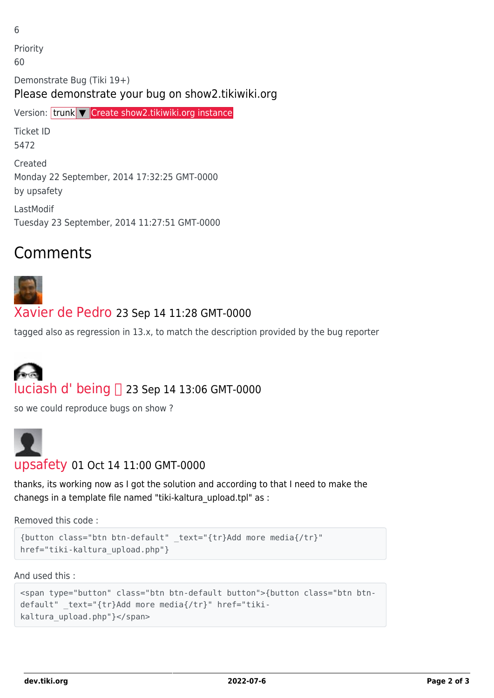6

Priority 60 Demonstrate Bug (Tiki 19+) Please demonstrate your bug on show2.tikiwiki.org Version: trunk ▼ [Create show2.tikiwiki.org instance](#page--1-0) Ticket ID 5472 Created Monday 22 September, 2014 17:32:25 GMT-0000 by upsafety

LastModif Tuesday 23 September, 2014 11:27:51 GMT-0000

### Comments



#### [Xavier de Pedro](https://dev.tiki.org/user9794) 23 Sep 14 11:28 GMT-0000

tagged also as regression in 13.x, to match the description provided by the bug reporter

# [luciash d' being](https://dev.tiki.org/user199)  23 Sep 14 13:06 GMT-0000

so we could reproduce bugs on show ?



#### [upsafety](https://dev.tiki.org/user11718) 01 Oct 14 11:00 GMT-0000

thanks, its working now as I got the solution and according to that I need to make the chanegs in a template file named "tiki-kaltura\_upload.tpl" as :

Removed this code :

```
{button class="btn btn-default" _text="{tr}Add more media{/tr}"
href="tiki-kaltura upload.php"}
```
And used this :

```
<span type="button" class="btn btn-default button">{button class="btn btn-
default" _text="{tr}Add more media{/tr}" href="tiki-
kaltura_upload.php"}</span>
```